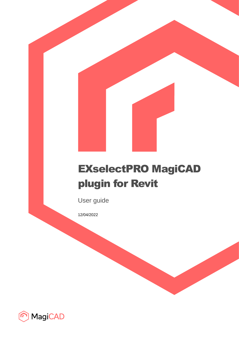# EXselectPRO MagiCAD plugin for Revit

User guide

12/04/2022

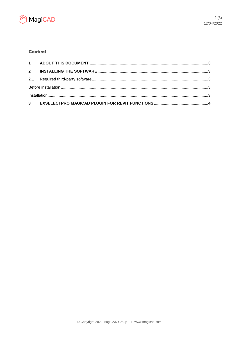

# **Content**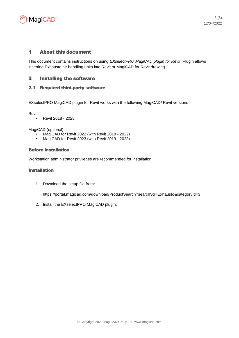

## 1 About this document

This document contains instructions on using *EXselectPRO MagiCAD plugin for Revit*. Plugin allows inserting Exhausto air handling units into Revit or MagiCAD for Revit drawing.

## 2 Installing the software

### 2.1 Required third-party software

EXselectPRO MagiCAD plugin for Revit works with the following MagiCAD/ Revit versions

Revit

• Revit 2018 - 2023

MagiCAD (optional)

- MagiCAD for Revit 2022 (with Revit 2018 2022)
- MagiCAD for Revit 2023 (with Revit 2019 2023)

#### Before installation

Workstation administrator privileges are recommended for installation.

#### **Installation**

1. Download the setup file from:

https://portal.magicad.com/download/ProductSearch?searchStr=Exhausto&categoryId=3

2. Install the EXselectPRO MagiCAD plugin.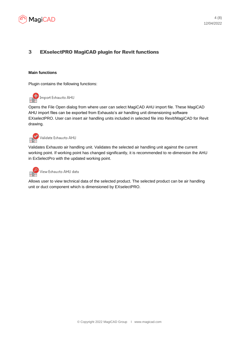

# 3 EXselectPRO MagiCAD plugin for Revit functions

#### **Main functions**

Plugin contains the following functions:



Opens the File Open dialog from where user can select MagiCAD AHU import file. These MagiCAD AHU import files can be exported from Exhausto's air handling unit dimensioning software EXselectPRO. User can insert air handling units included in selected file into Revit/MagiCAD for Revit drawing.



Validates Exhausto air handling unit. Validates the selected air handling unit against the current working point. If working point has changed significantly, it is recommended to re-dimension the AHU in ExSelectPro with the updated working point.



Allows user to view technical data of the selected product. The selected product can be air handling unit or duct component which is dimensioned by EXselectPRO.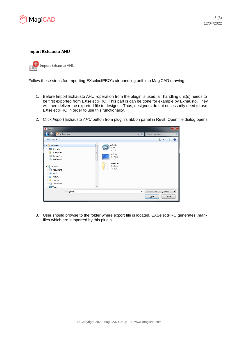

#### **Import Exhausto AHU**

Import Exhausto AHU

Follow these steps for Importing EXselectPRO's air handling unit into MagiCAD drawing:

- 1. Before Import Exhausto AHU -operation from the plugin is used, air handling unit(s) needs to be first exported from EXselectPRO. This part is can be done for example by Exhausto. They will then deliver the exported file to designer. Thus, designers do not necessarily need to use EXselectPRO in order to use this functionality.
- 2. Click *Import* Exhausto AHU button from plugin's ribbon panel in Revit. Open file dialog opens.



3. User should browse to the folder where export file is located. EXSelectPRO generates .mahfiles which are supported by this plugin.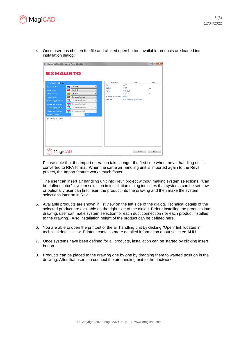

4. Once user has chosen the file and clicked open button, available products are loaded into installation dialog:

| R EXselectPRO MagiCAD plugin for Revit - 2016.5.1.0                |                                                  |  |                             |                          |        |
|--------------------------------------------------------------------|--------------------------------------------------|--|-----------------------------|--------------------------|--------|
| <b>EXHAUSTO</b>                                                    |                                                  |  |                             |                          |        |
| V Insert<br><b>VEX4000</b><br>$\left( \boldsymbol{\lambda}\right)$ |                                                  |  | Description                 | Value                    | Units  |
| Outdoor system                                                     | Outdoor <sub>2</sub><br>۰                        |  | Size<br>Weight              | 4050<br>1465             | kq     |
| Supply system                                                      | Supply 2<br>$\blacksquare$                       |  | Name                        | <b>VFX4000</b>           |        |
| <b>Extract system</b>                                              | Extract 2<br>۰                                   |  | <b>ETA</b>                  | 81.6                     | %      |
| Exhaust system                                                     | Can be defined later<br>۰                        |  | <b>PDF from EXselectPRO</b> | Open                     |        |
| Heating supply system                                              | Can be defined later<br>÷                        |  | Web site:                   | http://www.exhausto.com/ |        |
| Heating return system                                              | Can be defined later<br>$\overline{\phantom{a}}$ |  |                             |                          |        |
| Cooling supply system                                              | Can be defined later<br>$\overline{\phantom{a}}$ |  |                             |                          |        |
| Cooling return system                                              | Can be defined later<br>v                        |  |                             |                          |        |
| <b>Installation height</b>                                         | 0<br>mm                                          |  |                             |                          |        |
| $(\mathcal{A}$<br>Heating coil water                               |                                                  |  |                             |                          |        |
| <b>MagiCAD</b>                                                     |                                                  |  |                             | Insert                   | Cancel |

Please note that the Import operation takes longer the first time when the air handling unit is converted to RFA format. When the same air handling unit is imported again to the Revit project, the Import feature works much faster.

The user can insert air handling unit into Revit project without making system selections. "Can be defined later" -system selection in installation dialog indicates that systems can be set now or optionally user can first insert the product into the drawing and then make the system selections later on in Revit.

- 5. Available products are shown in list view on the left side of the dialog. Technical details of the selected product are available on the right side of the dialog. Before installing the products into drawing, user can make system selection for each duct connection (for each product installed to the drawing). Also installation height of the product can be defined here.
- 6. You are able to open the printout of the air handling unit by clicking "Open" link located in technical details view. Printout contains more detailed information about selected AHU.
- 7. Once systems have been defined for all products, installation can be started by clicking insert button.
- 8. Products can be placed to the drawing one by one by dragging them to wanted position in the drawing. After that user can connect the air handling unit to the ductwork.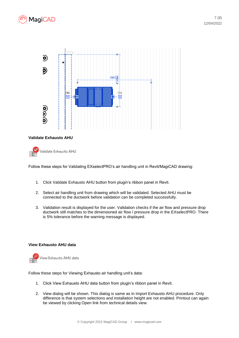



#### **Validate Exhausto AHU**



Follow these steps for Validating EXselectPRO's air handling unit in Revit/MagiCAD drawing:

- 1. Click Validate Exhausto AHU button from plugin's ribbon panel in Revit.
- 2. Select air handling unit from drawing which will be validated. Selected AHU must be connected to the ductwork before validation can be completed successfully.
- 3. Validation result is displayed for the user. Validation checks if the air flow and pressure drop ductwork still matches to the dimensioned air flow / pressure drop in the EXselectPRO. There is 5% tolerance before the warning message is displayed.

#### **View Exhausto AHU data**



Follow these steps for Viewing Exhausto air handling unit's data:

- 1. Click View Exhausto AHU data button from plugin's ribbon panel in Revit.
- 2. View dialog will be shown. This dialog is same as in Import Exhausto AHU procedure. Only difference is that system selections and installation height are not enabled. Printout can again be viewed by clicking Open link from technical details view.